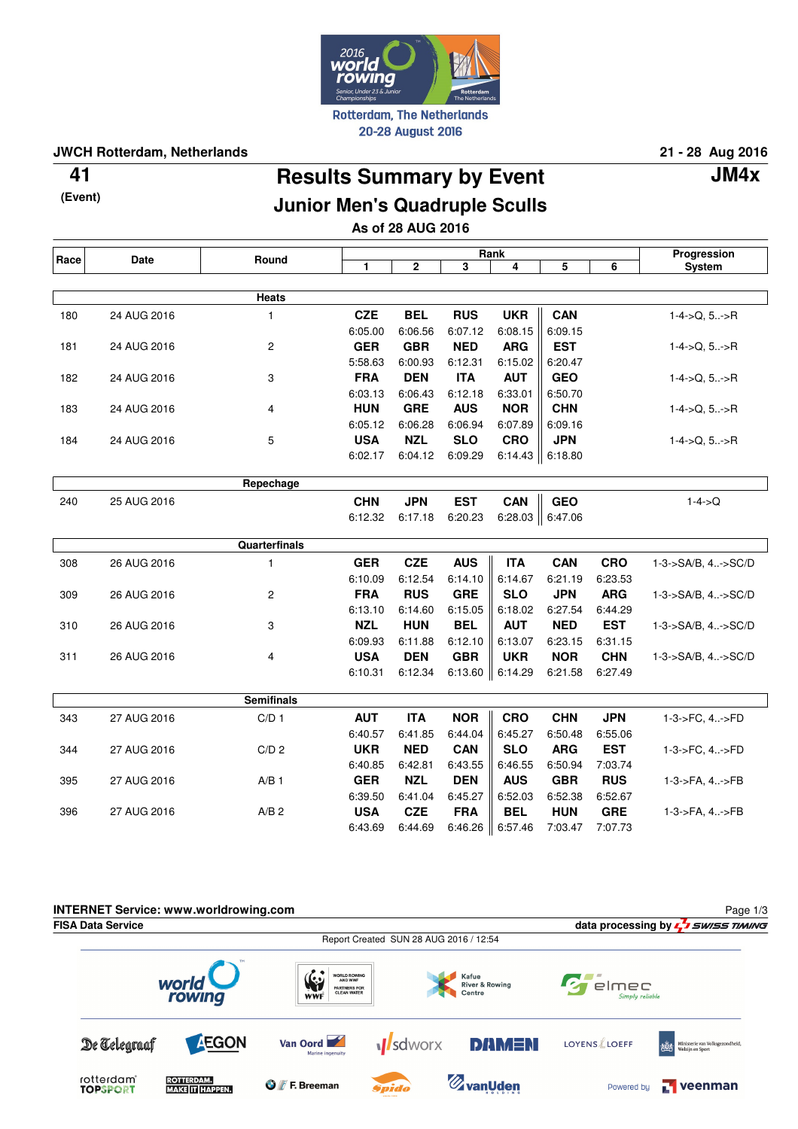

### **JWCH Rotterdam, Netherlands 21 - 28 Aug 2016**

**(Event)**

# **Results Summary by Event 41 JM4x**

## **Junior Men's Quadruple Sculls**

**As of 28 AUG 2016**

| Race | <b>Date</b> | Round             | Rank         |             |            |            |                      |            | Progression        |
|------|-------------|-------------------|--------------|-------------|------------|------------|----------------------|------------|--------------------|
|      |             |                   | $\mathbf{1}$ | $\mathbf 2$ | 3          | 4          | 5                    | 6          | <b>System</b>      |
|      |             |                   |              |             |            |            |                      |            |                    |
|      |             | <b>Heats</b>      |              |             |            |            |                      |            |                    |
| 180  | 24 AUG 2016 | $\mathbf{1}$      | <b>CZE</b>   | <b>BEL</b>  | <b>RUS</b> | <b>UKR</b> | <b>CAN</b>           |            | $1-4$ ->Q, $5$ ->R |
|      |             |                   | 6:05.00      | 6:06.56     | 6:07.12    | 6:08.15    | 6:09.15              |            |                    |
| 181  | 24 AUG 2016 | $\mathbf{2}$      | <b>GER</b>   | <b>GBR</b>  | <b>NED</b> | <b>ARG</b> | <b>EST</b>           |            | $1-4$ ->Q, $5$ ->R |
|      |             |                   | 5:58.63      | 6:00.93     | 6:12.31    | 6:15.02    | 6:20.47              |            |                    |
| 182  | 24 AUG 2016 | 3                 | <b>FRA</b>   | <b>DEN</b>  | <b>ITA</b> | <b>AUT</b> | <b>GEO</b>           |            | $1-4$ ->Q, $5$ ->R |
|      |             |                   | 6:03.13      | 6:06.43     | 6:12.18    | 6:33.01    | 6:50.70              |            |                    |
| 183  | 24 AUG 2016 | 4                 | <b>HUN</b>   | <b>GRE</b>  | <b>AUS</b> | <b>NOR</b> | <b>CHN</b>           |            | $1-4$ ->Q, 5->R    |
|      |             |                   | 6:05.12      | 6:06.28     | 6:06.94    | 6:07.89    | 6:09.16              |            |                    |
| 184  | 24 AUG 2016 | 5                 | <b>USA</b>   | <b>NZL</b>  | <b>SLO</b> | <b>CRO</b> | <b>JPN</b>           |            | $1-4$ ->Q, $5$ ->R |
|      |             |                   | 6:02.17      | 6:04.12     | 6:09.29    | 6:14.43    | $\  6:18.80$         |            |                    |
|      |             |                   |              |             |            |            |                      |            |                    |
|      |             | Repechage         |              |             |            |            |                      |            |                    |
| 240  | 25 AUG 2016 |                   | <b>CHN</b>   | <b>JPN</b>  | <b>EST</b> | CAN        | <b>GEO</b>           |            | $1 - 4 - > Q$      |
|      |             |                   | 6:12.32      | 6:17.18     | 6:20.23    |            | 6:28.03 $\ $ 6:47.06 |            |                    |
|      |             |                   |              |             |            |            |                      |            |                    |
|      |             | Quarterfinals     |              |             |            |            |                      |            |                    |
| 308  | 26 AUG 2016 | $\mathbf{1}$      | <b>GER</b>   | <b>CZE</b>  | <b>AUS</b> | <b>ITA</b> | <b>CAN</b>           | <b>CRO</b> | 1-3->SA/B, 4->SC/D |
|      |             |                   | 6:10.09      | 6:12.54     | 6:14.10    | 6:14.67    | 6:21.19              | 6:23.53    |                    |
| 309  | 26 AUG 2016 | 2                 | <b>FRA</b>   | <b>RUS</b>  | <b>GRE</b> | <b>SLO</b> | <b>JPN</b>           | <b>ARG</b> | 1-3->SA/B, 4->SC/D |
|      |             |                   | 6:13.10      | 6:14.60     | 6:15.05    | 6:18.02    | 6:27.54              | 6:44.29    |                    |
| 310  | 26 AUG 2016 | 3                 | <b>NZL</b>   | <b>HUN</b>  | <b>BEL</b> | <b>AUT</b> | <b>NED</b>           | <b>EST</b> | 1-3->SA/B, 4->SC/D |
|      |             |                   | 6:09.93      | 6:11.88     | 6:12.10    | 6:13.07    | 6:23.15              | 6:31.15    |                    |
| 311  | 26 AUG 2016 | 4                 | <b>USA</b>   | <b>DEN</b>  | <b>GBR</b> | <b>UKR</b> | <b>NOR</b>           | <b>CHN</b> | 1-3->SA/B, 4->SC/D |
|      |             |                   | 6:10.31      | 6:12.34     | 6:13.60    | 6:14.29    | 6:21.58              | 6:27.49    |                    |
|      |             |                   |              |             |            |            |                      |            |                    |
|      |             | <b>Semifinals</b> |              |             |            |            |                      |            |                    |
| 343  | 27 AUG 2016 | C/D <sub>1</sub>  | <b>AUT</b>   | <b>ITA</b>  | <b>NOR</b> | <b>CRO</b> | <b>CHN</b>           | <b>JPN</b> | 1-3->FC, 4->FD     |
|      |             |                   | 6:40.57      | 6:41.85     | 6:44.04    | 6:45.27    | 6:50.48              | 6:55.06    |                    |
| 344  | 27 AUG 2016 | C/D <sub>2</sub>  | <b>UKR</b>   | <b>NED</b>  | <b>CAN</b> | <b>SLO</b> | <b>ARG</b>           | <b>EST</b> | 1-3->FC, 4->FD     |
|      |             |                   | 6:40.85      | 6:42.81     | 6:43.55    | 6:46.55    | 6:50.94              | 7:03.74    |                    |
| 395  | 27 AUG 2016 | $A/B$ 1           | <b>GER</b>   | <b>NZL</b>  | <b>DEN</b> | <b>AUS</b> | <b>GBR</b>           | <b>RUS</b> | 1-3->FA, 4->FB     |
|      |             |                   | 6:39.50      | 6:41.04     | 6:45.27    | 6:52.03    | 6:52.38              | 6:52.67    |                    |
| 396  | 27 AUG 2016 | $A/B$ 2           | <b>USA</b>   | <b>CZE</b>  | <b>FRA</b> | <b>BEL</b> | <b>HUN</b>           | <b>GRE</b> | 1-3->FA, 4->FB     |
|      |             |                   | 6:43.69      | 6:44.69     | 6:46.26    | 6:57.46    | 7:03.47              | 7:07.73    |                    |
|      |             |                   |              |             |            |            |                      |            |                    |

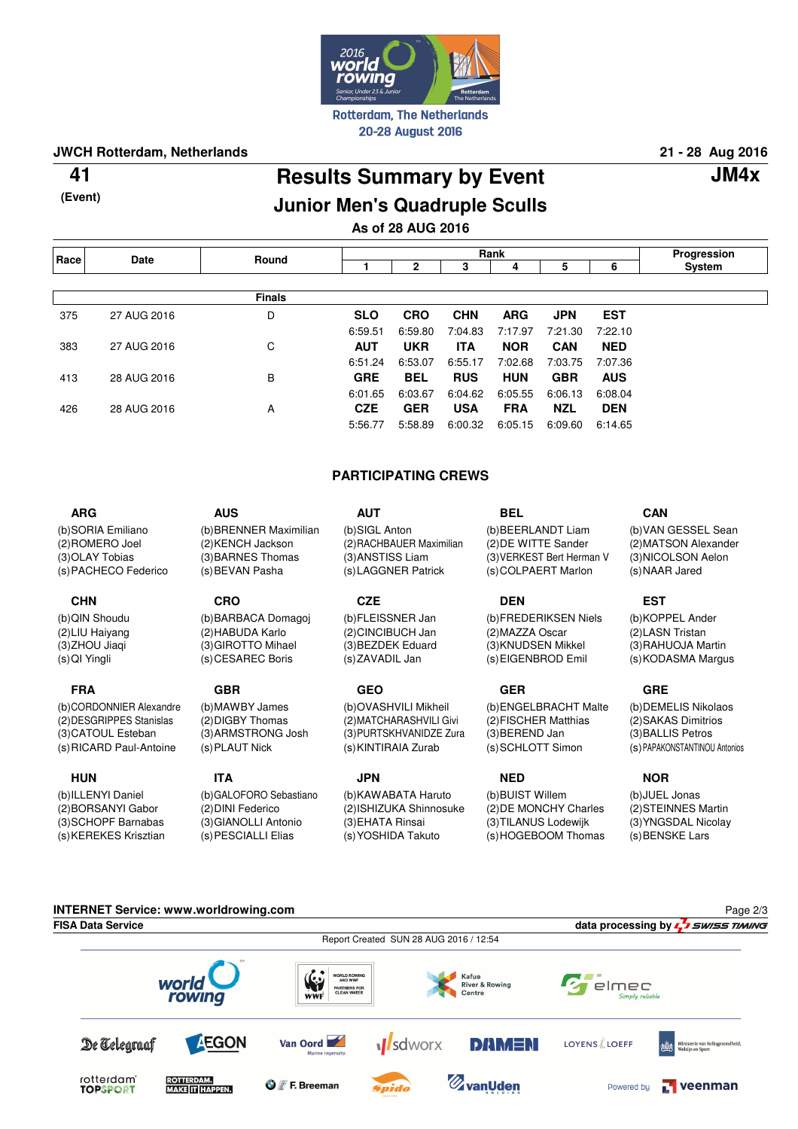

### **JWCH Rotterdam, Netherlands 21 - 28 Aug 2016**

**(Event)**

## **Results Summary by Event 41 JM4x Junior Men's Quadruple Sculls**

### **As of 28 AUG 2016**

| Race | Date        | Round         | Rank       |            |            |            |            |            | Progression |
|------|-------------|---------------|------------|------------|------------|------------|------------|------------|-------------|
|      |             |               |            | 2          | 3          | 4          | 5          | 6          | System      |
|      |             |               |            |            |            |            |            |            |             |
|      |             | <b>Finals</b> |            |            |            |            |            |            |             |
| 375  | 27 AUG 2016 | D             | <b>SLO</b> | <b>CRO</b> | <b>CHN</b> | <b>ARG</b> | <b>JPN</b> | <b>EST</b> |             |
|      |             |               | 6:59.51    | 6:59.80    | 7:04.83    | 7:17.97    | 7:21.30    | 7:22.10    |             |
| 383  | 27 AUG 2016 | С             | <b>AUT</b> | <b>UKR</b> | <b>ITA</b> | <b>NOR</b> | <b>CAN</b> | <b>NED</b> |             |
|      |             |               | 6:51.24    | 6:53.07    | 6:55.17    | 7:02.68    | 7:03.75    | 7:07.36    |             |
| 413  | 28 AUG 2016 | B             | <b>GRE</b> | <b>BEL</b> | <b>RUS</b> | <b>HUN</b> | <b>GBR</b> | <b>AUS</b> |             |
|      |             |               | 6:01.65    | 6:03.67    | 6:04.62    | 6:05.55    | 6:06.13    | 6:08.04    |             |
| 426  | 28 AUG 2016 | A             | <b>CZE</b> | <b>GER</b> | <b>USA</b> | <b>FRA</b> | <b>NZL</b> | <b>DEN</b> |             |
|      |             |               | 5:56.77    | 5:58.89    | 6:00.32    | 6:05.15    | 6:09.60    | 6:14.65    |             |

#### **PARTICIPATING CREWS**

**CZE**

(b) OVASHVILI Mikheil (2) MATCHARASHVILI Givi (3) PURTSKHVANIDZE Zura (s) KINTIRAIA Zurab

## **JPN**

(b) KAWABATA Haruto (2) ISHIZUKA Shinnosuke (3) EHATA Rinsai (s) YOSHIDA Takuto

**BEL** (b) BEERLANDT Liam (2) DE WITTE Sander (3) VERKEST Bert Herman V

(s) COLPAERT Marlon **DEN** (b) FREDERIKSEN Niels

(2) MAZZA Oscar (3) KNUDSEN Mikkel (s) EIGENBROD Emil

#### **GER**

(b) ENGELBRACHT Malte (2) FISCHER Matthias (3) BEREND Jan (s) SCHLOTT Simon

**NED** (b) BUIST Willem (2) DE MONCHY Charles (3) TILANUS Lodewijk (s) HOGEBOOM Thomas

#### **CAN**

(b) VAN GESSEL Sean (2) MATSON Alexander (3) NICOLSON Aelon (s) NAAR Jared

**EST**

(b) KOPPEL Ander (2) LASN Tristan (3) RAHUOJA Martin (s) KODASMA Margus

#### **GRE**

(b) DEMELIS Nikolaos (2) SAKAS Dimitrios (3) BALLIS Petros (s) PAPAKONSTANTINOU Antonios

#### **NOR**

(b) JUEL Jonas (2) STEINNES Martin (3) YNGSDAL Nicolay (s) BENSKE Lars



(s) PACHECO Federico **AUS** (b) BRENNER Maximilian (2) KENCH Jackson (3) BARNES Thomas (s) BEVAN Pasha

#### **CHN**

**ARG** (b) SORIA Emiliano (2) ROMERO Joel (3) OLAY Tobias

(b) QIN Shoudu (2) LIU Haiyang (3) ZHOU Jiaqi (s) QI Yingli

#### **FRA**

(b) CORDONNIER Alexandre (2) DESGRIPPES Stanislas (3) CATOUL Esteban (s) RICARD Paul-Antoine

#### **HUN**

(b) ILLENYI Daniel (2) BORSANYI Gabor (3) SCHOPF Barnabas (s) KEREKES Krisztian

#### (b) BARBACA Domagoj (2) HABUDA Karlo (3) GIROTTO Mihael (s) CESAREC Boris **GBR**

**CRO**

(b) MAWBY James (2) DIGBY Thomas (3) ARMSTRONG Josh (s) PLAUT Nick

**ITA**

(b) GALOFORO Sebastiano (2) DINI Federico (3) GIANOLLI Antonio (s) PESCIALLI Elias

**AUT** (b) SIGL Anton

(2) RACHBAUER Maximilian (3) ANSTISS Liam (s) LAGGNER Patrick

(b) FLEISSNER Jan (2) CINCIBUCH Jan (3) BEZDEK Eduard (s) ZAVADIL Jan